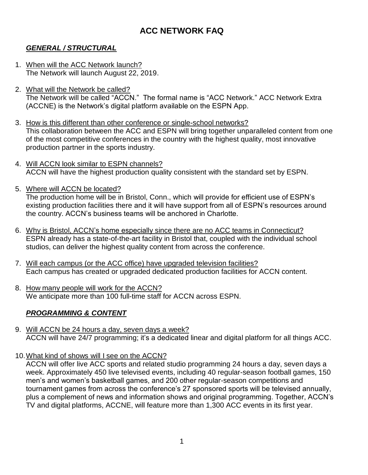# **ACC NETWORK FAQ**

## *GENERAL / STRUCTURAL*

- 1. When will the ACC Network launch? The Network will launch August 22, 2019.
- 2. What will the Network be called? The Network will be called "ACCN." The formal name is "ACC Network." ACC Network Extra (ACCNE) is the Network's digital platform available on the ESPN App.
- 3. How is this different than other conference or single-school networks? This collaboration between the ACC and ESPN will bring together unparalleled content from one of the most competitive conferences in the country with the highest quality, most innovative production partner in the sports industry.
- 4. Will ACCN look similar to ESPN channels? ACCN will have the highest production quality consistent with the standard set by ESPN.
- 5. Where will ACCN be located? The production home will be in Bristol, Conn., which will provide for efficient use of ESPN's existing production facilities there and it will have support from all of ESPN's resources around the country. ACCN's business teams will be anchored in Charlotte.
- 6. Why is Bristol, ACCN's home especially since there are no ACC teams in Connecticut? ESPN already has a state-of-the-art facility in Bristol that, coupled with the individual school studios, can deliver the highest quality content from across the conference.
- 7. Will each campus (or the ACC office) have upgraded television facilities? Each campus has created or upgraded dedicated production facilities for ACCN content.
- 8. How many people will work for the ACCN? We anticipate more than 100 full-time staff for ACCN across ESPN.

## *PROGRAMMING & CONTENT*

- 9. Will ACCN be 24 hours a day, seven days a week? ACCN will have 24/7 programming; it's a dedicated linear and digital platform for all things ACC.
- 10. What kind of shows will I see on the ACCN?

ACCN will offer live ACC sports and related studio programming 24 hours a day, seven days a week. Approximately 450 live televised events, including 40 regular-season football games, 150 men's and women's basketball games, and 200 other regular-season competitions and tournament games from across the conference's 27 sponsored sports will be televised annually, plus a complement of news and information shows and original programming. Together, ACCN's TV and digital platforms, ACCNE, will feature more than 1,300 ACC events in its first year.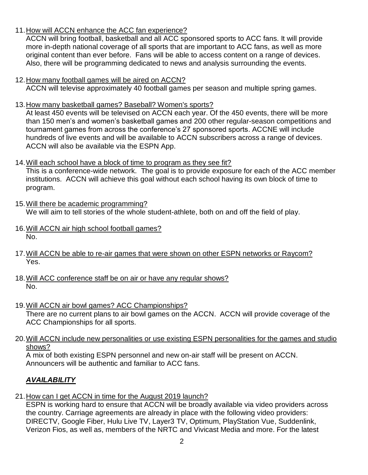#### 11.How will ACCN enhance the ACC fan experience?

ACCN will bring football, basketball and all ACC sponsored sports to ACC fans. It will provide more in-depth national coverage of all sports that are important to ACC fans, as well as more original content than ever before. Fans will be able to access content on a range of devices. Also, there will be programming dedicated to news and analysis surrounding the events.

#### 12.How many football games will be aired on ACCN?

ACCN will televise approximately 40 football games per season and multiple spring games.

13.How many basketball games? Baseball? Women's sports?

At least 450 events will be televised on ACCN each year. Of the 450 events, there will be more than 150 men's and women's basketball games and 200 other regular-season competitions and tournament games from across the conference's 27 sponsored sports. ACCNE will include hundreds of live events and will be available to ACCN subscribers across a range of devices. ACCN will also be available via the ESPN App.

#### 14.Will each school have a block of time to program as they see fit?

This is a conference-wide network. The goal is to provide exposure for each of the ACC member institutions. ACCN will achieve this goal without each school having its own block of time to program.

- 15.Will there be academic programming? We will aim to tell stories of the whole student-athlete, both on and off the field of play.
- 16.Will ACCN air high school football games? No.
- 17.Will ACCN be able to re-air games that were shown on other ESPN networks or Raycom? Yes.
- 18.Will ACC conference staff be on air or have any regular shows? No.
- 19. Will ACCN air bowl games? ACC Championships? There are no current plans to air bowl games on the ACCN. ACCN will provide coverage of the ACC Championships for all sports.
- 20.Will ACCN include new personalities or use existing ESPN personalities for the games and studio shows?

A mix of both existing ESPN personnel and new on-air staff will be present on ACCN. Announcers will be authentic and familiar to ACC fans.

# *AVAILABILITY*

21.How can I get ACCN in time for the August 2019 launch?

ESPN is working hard to ensure that ACCN will be broadly available via video providers across the country. Carriage agreements are already in place with the following video providers: DIRECTV, Google Fiber, Hulu Live TV, Layer3 TV, Optimum, PlayStation Vue, Suddenlink, Verizon Fios, as well as, members of the NRTC and Vivicast Media and more. For the latest